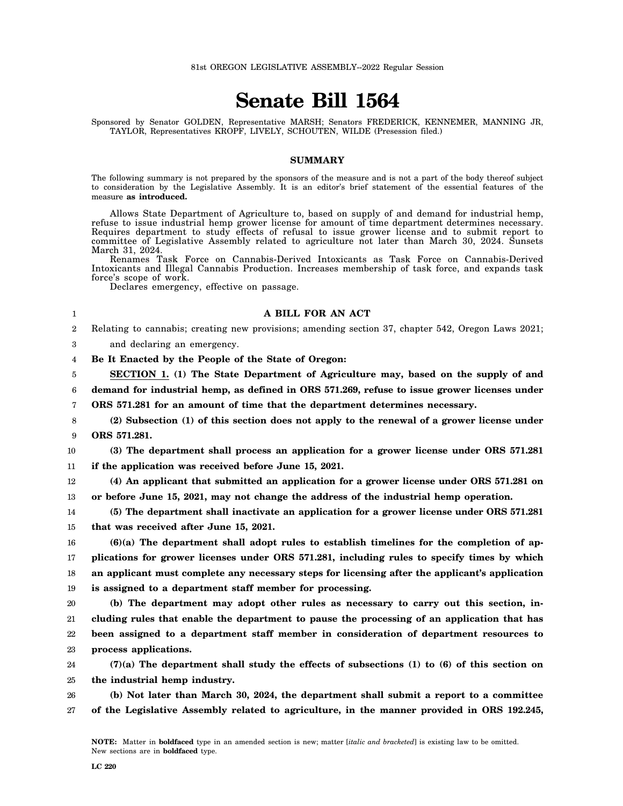## **Senate Bill 1564**

Sponsored by Senator GOLDEN, Representative MARSH; Senators FREDERICK, KENNEMER, MANNING JR, TAYLOR, Representatives KROPF, LIVELY, SCHOUTEN, WILDE (Presession filed.)

## **SUMMARY**

The following summary is not prepared by the sponsors of the measure and is not a part of the body thereof subject to consideration by the Legislative Assembly. It is an editor's brief statement of the essential features of the measure **as introduced.**

Allows State Department of Agriculture to, based on supply of and demand for industrial hemp, refuse to issue industrial hemp grower license for amount of time department determines necessary. Requires department to study effects of refusal to issue grower license and to submit report to committee of Legislative Assembly related to agriculture not later than March 30, 2024. Sunsets March 31, 2024.

Renames Task Force on Cannabis-Derived Intoxicants as Task Force on Cannabis-Derived Intoxicants and Illegal Cannabis Production. Increases membership of task force, and expands task force's scope of work.

Declares emergency, effective on passage.

## **A BILL FOR AN ACT**

 $2^{\circ}$ Relating to cannabis; creating new provisions; amending section 37, chapter 542, Oregon Laws 2021;

3 and declaring an emergency.

1

4 **Be It Enacted by the People of the State of Oregon:**

5 6 **SECTION 1. (1) The State Department of Agriculture may, based on the supply of and demand for industrial hemp, as defined in ORS 571.269, refuse to issue grower licenses under**

7 **ORS 571.281 for an amount of time that the department determines necessary.**

8 9 **(2) Subsection (1) of this section does not apply to the renewal of a grower license under ORS 571.281.**

10 11 **(3) The department shall process an application for a grower license under ORS 571.281 if the application was received before June 15, 2021.**

12 13 **(4) An applicant that submitted an application for a grower license under ORS 571.281 on or before June 15, 2021, may not change the address of the industrial hemp operation.**

14 15 **(5) The department shall inactivate an application for a grower license under ORS 571.281 that was received after June 15, 2021.**

16 17 18 19 **(6)(a) The department shall adopt rules to establish timelines for the completion of applications for grower licenses under ORS 571.281, including rules to specify times by which an applicant must complete any necessary steps for licensing after the applicant's application is assigned to a department staff member for processing.**

20 21 22 23 **(b) The department may adopt other rules as necessary to carry out this section, including rules that enable the department to pause the processing of an application that has been assigned to a department staff member in consideration of department resources to process applications.**

24 25 **(7)(a) The department shall study the effects of subsections (1) to (6) of this section on the industrial hemp industry.**

26 27 **(b) Not later than March 30, 2024, the department shall submit a report to a committee of the Legislative Assembly related to agriculture, in the manner provided in ORS 192.245,**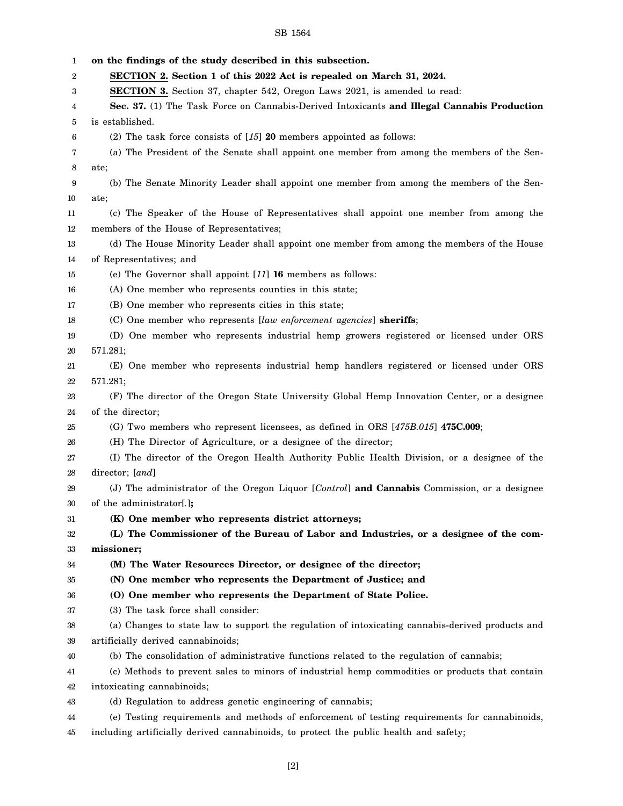## SB 1564

1 2 3 4 5 6 7 8 9 10 11 12 13 14 15 16 17 18 19 20 21 22 23 24 25 26 27 28 29 30 31 32 33 34 35 36 37 38 39 40 41 42 43 44 45 **on the findings of the study described in this subsection. SECTION 2. Section 1 of this 2022 Act is repealed on March 31, 2024. SECTION 3.** Section 37, chapter 542, Oregon Laws 2021, is amended to read: **Sec. 37.** (1) The Task Force on Cannabis-Derived Intoxicants **and Illegal Cannabis Production** is established. (2) The task force consists of [*15*] **20** members appointed as follows: (a) The President of the Senate shall appoint one member from among the members of the Senate; (b) The Senate Minority Leader shall appoint one member from among the members of the Senate; (c) The Speaker of the House of Representatives shall appoint one member from among the members of the House of Representatives; (d) The House Minority Leader shall appoint one member from among the members of the House of Representatives; and (e) The Governor shall appoint [*11*] **16** members as follows: (A) One member who represents counties in this state; (B) One member who represents cities in this state; (C) One member who represents [*law enforcement agencies*] **sheriffs**; (D) One member who represents industrial hemp growers registered or licensed under ORS 571.281; (E) One member who represents industrial hemp handlers registered or licensed under ORS 571.281; (F) The director of the Oregon State University Global Hemp Innovation Center, or a designee of the director; (G) Two members who represent licensees, as defined in ORS [*475B.015*] **475C.009**; (H) The Director of Agriculture, or a designee of the director; (I) The director of the Oregon Health Authority Public Health Division, or a designee of the director; [*and*] (J) The administrator of the Oregon Liquor [*Control*] **and Cannabis** Commission, or a designee of the administrator[*.*]**; (K) One member who represents district attorneys; (L) The Commissioner of the Bureau of Labor and Industries, or a designee of the commissioner; (M) The Water Resources Director, or designee of the director; (N) One member who represents the Department of Justice; and (O) One member who represents the Department of State Police.** (3) The task force shall consider: (a) Changes to state law to support the regulation of intoxicating cannabis-derived products and artificially derived cannabinoids; (b) The consolidation of administrative functions related to the regulation of cannabis; (c) Methods to prevent sales to minors of industrial hemp commodities or products that contain intoxicating cannabinoids; (d) Regulation to address genetic engineering of cannabis; (e) Testing requirements and methods of enforcement of testing requirements for cannabinoids, including artificially derived cannabinoids, to protect the public health and safety;